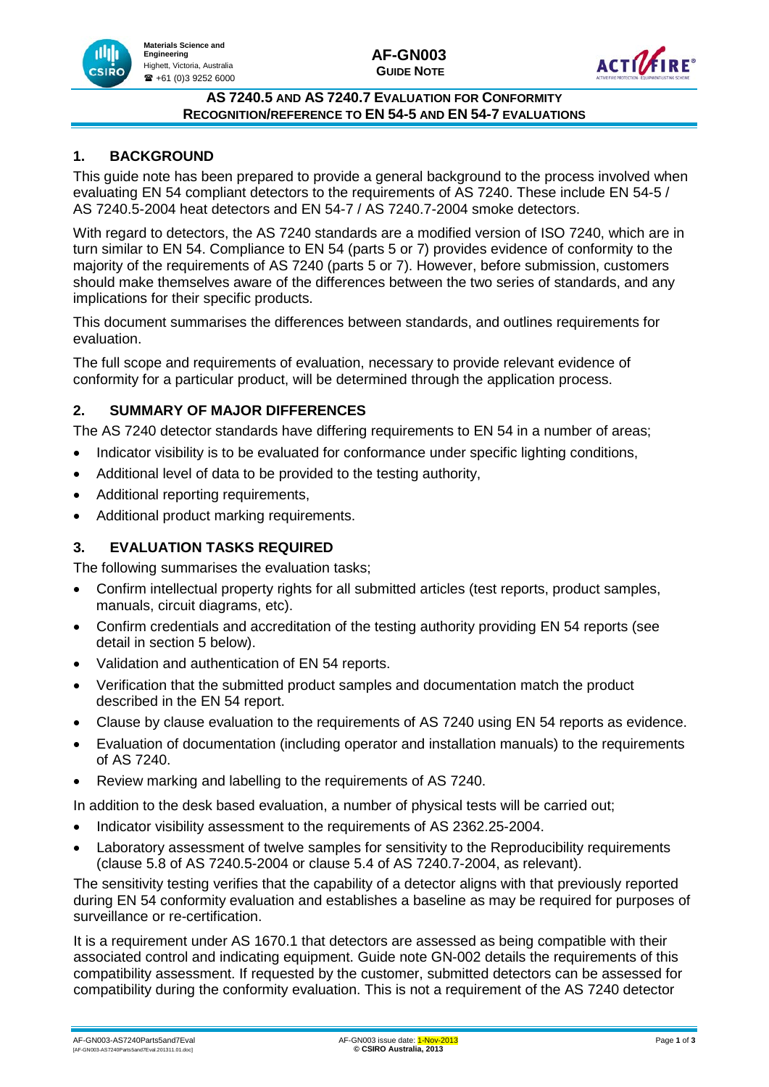

#### **AS 7240.5 AND AS 7240.7 EVALUATION FOR CONFORMITY RECOGNITION/REFERENCE TO EN 54-5 AND EN 54-7 EVALUATIONS**

# **1. BACKGROUND**

nlılı

**CSIRO** 

**Materials Science and Engineering** Highett, Victoria, Australia  $\bullet$  +61 (0)3 9252 6000

This guide note has been prepared to provide a general background to the process involved when evaluating EN 54 compliant detectors to the requirements of AS 7240. These include EN 54-5 / AS 7240.5-2004 heat detectors and EN 54-7 / AS 7240.7-2004 smoke detectors.

With regard to detectors, the AS 7240 standards are a modified version of ISO 7240, which are in turn similar to EN 54. Compliance to EN 54 (parts 5 or 7) provides evidence of conformity to the majority of the requirements of AS 7240 (parts 5 or 7). However, before submission, customers should make themselves aware of the differences between the two series of standards, and any implications for their specific products.

This document summarises the differences between standards, and outlines requirements for evaluation.

The full scope and requirements of evaluation, necessary to provide relevant evidence of conformity for a particular product, will be determined through the application process.

#### **2. SUMMARY OF MAJOR DIFFERENCES**

The AS 7240 detector standards have differing requirements to EN 54 in a number of areas;

- Indicator visibility is to be evaluated for conformance under specific lighting conditions,
- Additional level of data to be provided to the testing authority,
- Additional reporting requirements,
- Additional product marking requirements.

## **3. EVALUATION TASKS REQUIRED**

The following summarises the evaluation tasks;

- Confirm intellectual property rights for all submitted articles (test reports, product samples, manuals, circuit diagrams, etc).
- Confirm credentials and accreditation of the testing authority providing EN 54 reports (see detail in section 5 below).
- Validation and authentication of EN 54 reports.
- Verification that the submitted product samples and documentation match the product described in the EN 54 report.
- Clause by clause evaluation to the requirements of AS 7240 using EN 54 reports as evidence.
- Evaluation of documentation (including operator and installation manuals) to the requirements of AS 7240.
- Review marking and labelling to the requirements of AS 7240.

In addition to the desk based evaluation, a number of physical tests will be carried out;

- Indicator visibility assessment to the requirements of AS 2362.25-2004.
- Laboratory assessment of twelve samples for sensitivity to the Reproducibility requirements (clause 5.8 of AS 7240.5-2004 or clause 5.4 of AS 7240.7-2004, as relevant).

The sensitivity testing verifies that the capability of a detector aligns with that previously reported during EN 54 conformity evaluation and establishes a baseline as may be required for purposes of surveillance or re-certification.

It is a requirement under AS 1670.1 that detectors are assessed as being compatible with their associated control and indicating equipment. Guide note GN-002 details the requirements of this compatibility assessment. If requested by the customer, submitted detectors can be assessed for compatibility during the conformity evaluation. This is not a requirement of the AS 7240 detector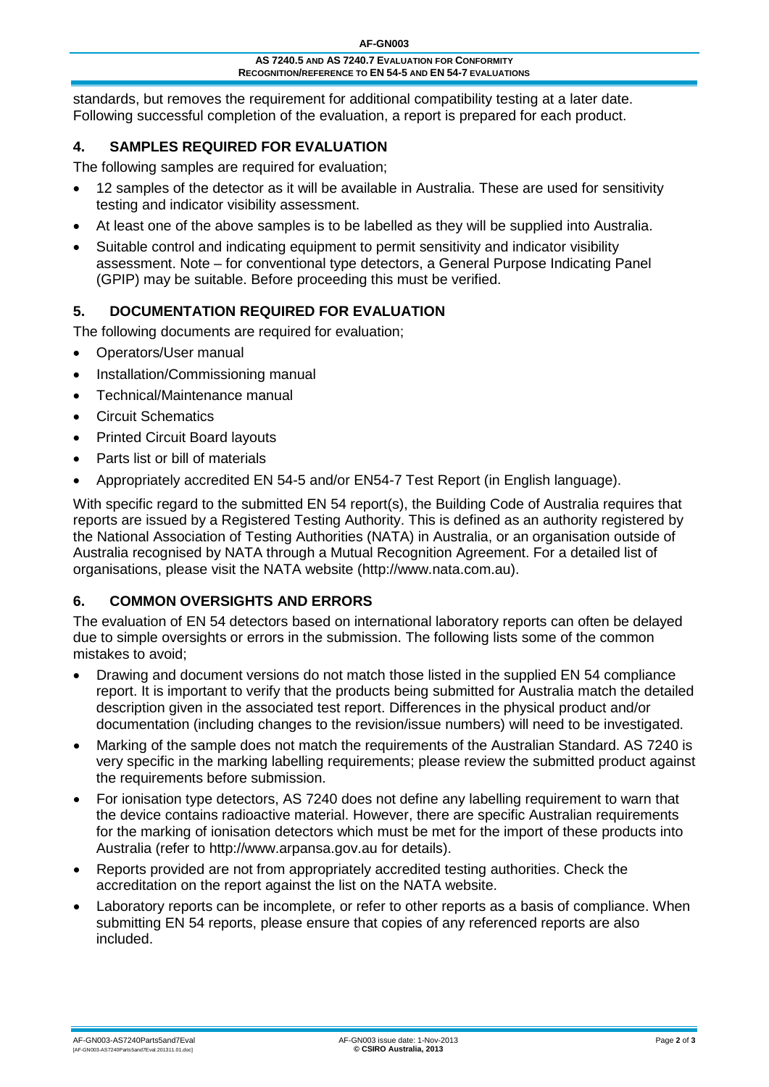standards, but removes the requirement for additional compatibility testing at a later date. Following successful completion of the evaluation, a report is prepared for each product.

# **4. SAMPLES REQUIRED FOR EVALUATION**

The following samples are required for evaluation;

- 12 samples of the detector as it will be available in Australia. These are used for sensitivity testing and indicator visibility assessment.
- At least one of the above samples is to be labelled as they will be supplied into Australia.
- Suitable control and indicating equipment to permit sensitivity and indicator visibility assessment. Note – for conventional type detectors, a General Purpose Indicating Panel (GPIP) may be suitable. Before proceeding this must be verified.

## **5. DOCUMENTATION REQUIRED FOR EVALUATION**

The following documents are required for evaluation;

- Operators/User manual
- Installation/Commissioning manual
- Technical/Maintenance manual
- Circuit Schematics
- Printed Circuit Board layouts
- Parts list or bill of materials
- Appropriately accredited EN 54-5 and/or EN54-7 Test Report (in English language).

With specific regard to the submitted EN 54 report(s), the Building Code of Australia requires that reports are issued by a Registered Testing Authority. This is defined as an authority registered by the National Association of Testing Authorities (NATA) in Australia, or an organisation outside of Australia recognised by NATA through a Mutual Recognition Agreement. For a detailed list of organisations, please visit the NATA website (http://www.nata.com.au).

## **6. COMMON OVERSIGHTS AND ERRORS**

The evaluation of EN 54 detectors based on international laboratory reports can often be delayed due to simple oversights or errors in the submission. The following lists some of the common mistakes to avoid;

- Drawing and document versions do not match those listed in the supplied EN 54 compliance report. It is important to verify that the products being submitted for Australia match the detailed description given in the associated test report. Differences in the physical product and/or documentation (including changes to the revision/issue numbers) will need to be investigated.
- Marking of the sample does not match the requirements of the Australian Standard. AS 7240 is very specific in the marking labelling requirements; please review the submitted product against the requirements before submission.
- For ionisation type detectors, AS 7240 does not define any labelling requirement to warn that the device contains radioactive material. However, there are specific Australian requirements for the marking of ionisation detectors which must be met for the import of these products into Australia (refer to http://www.arpansa.gov.au for details).
- Reports provided are not from appropriately accredited testing authorities. Check the accreditation on the report against the list on the NATA website.
- Laboratory reports can be incomplete, or refer to other reports as a basis of compliance. When submitting EN 54 reports, please ensure that copies of any referenced reports are also included.